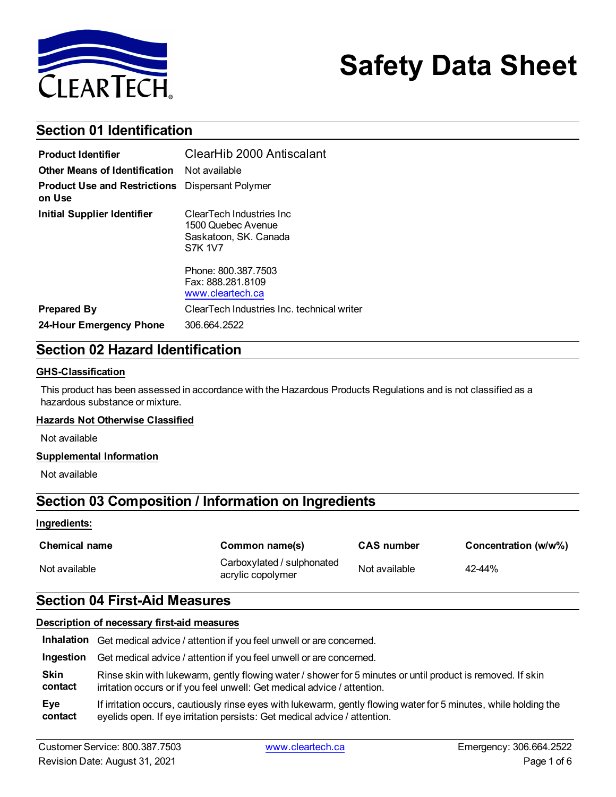

# **Safety Data Sheet**

## **Section 01 Identification**

| <b>Product Identifier</b>                     | ClearHib 2000 Antiscalant                                                                  |  |
|-----------------------------------------------|--------------------------------------------------------------------------------------------|--|
| <b>Other Means of Identification</b>          | Not available                                                                              |  |
| <b>Product Use and Restrictions</b><br>on Use | Dispersant Polymer                                                                         |  |
| <b>Initial Supplier Identifier</b>            | ClearTech Industries Inc.<br>1500 Quebec Avenue<br>Saskatoon, SK. Canada<br><b>S7K 1V7</b> |  |
|                                               | Phone: 800.387.7503<br>Fax: 888.281.8109<br>www.cleartech.ca                               |  |
| <b>Prepared By</b>                            | ClearTech Industries Inc. technical writer                                                 |  |
| 24-Hour Emergency Phone                       | 306.664.2522                                                                               |  |

## **Section 02 Hazard Identification**

#### **GHS-Classification**

This product has been assessed in accordance with the Hazardous Products Regulations and is not classified as a hazardous substance or mixture.

#### **Hazards Not Otherwise Classified**

Not available

#### **Supplemental Information**

Not available

## **Section 03 Composition / Information on Ingredients**

#### **Ingredients:**

| <b>Chemical name</b> | Common name(s)                                  | <b>CAS number</b> | Concentration (w/w%) |
|----------------------|-------------------------------------------------|-------------------|----------------------|
| Not available        | Carboxylated / sulphonated<br>acrylic copolymer | Not available     | 42-44%               |

### **Section 04 First-Aid Measures**

#### **Description of necessary first-aid measures**

|           | <b>Inhalation</b> Get medical advice / attention if you feel unwell or are concerned.                            |
|-----------|------------------------------------------------------------------------------------------------------------------|
| Ingestion | Get medical advice / attention if you feel unwell or are concerned.                                              |
| Skin      | Rinse skin with lukewarm, gently flowing water / shower for 5 minutes or until product is removed. If skin       |
| contact   | irritation occurs or if you feel unwell: Get medical advice / attention.                                         |
| Eye       | If irritation occurs, cautiously rinse eyes with lukewarm, gently flowing water for 5 minutes, while holding the |
| contact   | eyelids open. If eye irritation persists: Get medical advice / attention.                                        |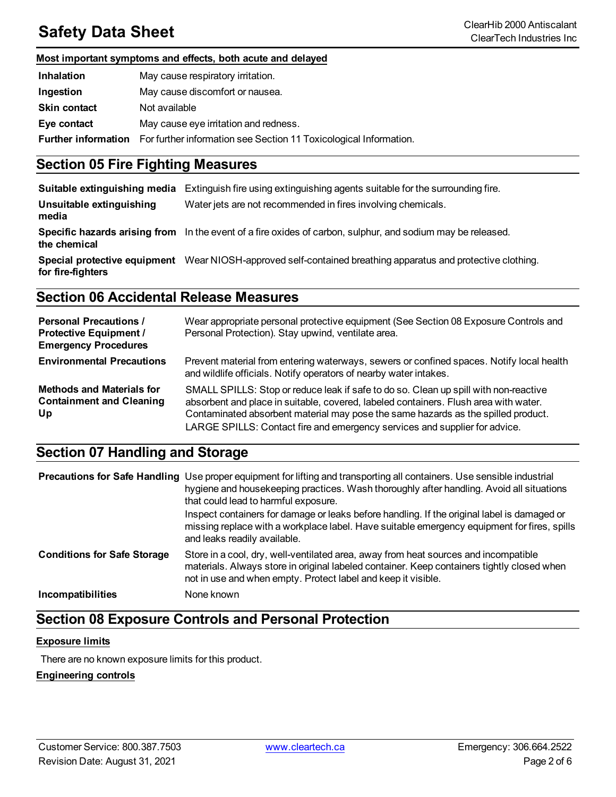## **Safety Data Sheet** ClearHib 2000 Antiscalant

#### **Most important symptoms and effects, both acute and delayed**

| <b>Inhalation</b>          | May cause respiratory irritation.                                 |
|----------------------------|-------------------------------------------------------------------|
| Ingestion                  | May cause discomfort or nausea.                                   |
| <b>Skin contact</b>        | Not available                                                     |
| Eye contact                | May cause eye irritation and redness.                             |
| <b>Further information</b> | For further information see Section 11 Toxicological Information. |

## **Section 05 Fire Fighting Measures**

| Suitable extinguishing media      | Extinguish fire using extinguishing agents suitable for the surrounding fire.                                |
|-----------------------------------|--------------------------------------------------------------------------------------------------------------|
| Unsuitable extinguishing<br>media | Water jets are not recommended in fires involving chemicals.                                                 |
| the chemical                      | Specific hazards arising from In the event of a fire oxides of carbon, sulphur, and sodium may be released.  |
| for fire-fighters                 | Special protective equipment Wear NIOSH-approved self-contained breathing apparatus and protective clothing. |

## **Section 06 Accidental Release Measures**

| <b>Personal Precautions /</b><br><b>Protective Equipment /</b><br><b>Emergency Procedures</b> | Wear appropriate personal protective equipment (See Section 08 Exposure Controls and<br>Personal Protection). Stay upwind, ventilate area.                                                                                                                                                                                                      |
|-----------------------------------------------------------------------------------------------|-------------------------------------------------------------------------------------------------------------------------------------------------------------------------------------------------------------------------------------------------------------------------------------------------------------------------------------------------|
| <b>Environmental Precautions</b>                                                              | Prevent material from entering waterways, sewers or confined spaces. Notify local health<br>and wildlife officials. Notify operators of nearby water intakes.                                                                                                                                                                                   |
| <b>Methods and Materials for</b><br><b>Containment and Cleaning</b><br>Up                     | SMALL SPILLS: Stop or reduce leak if safe to do so. Clean up spill with non-reactive<br>absorbent and place in suitable, covered, labeled containers. Flush area with water.<br>Contaminated absorbent material may pose the same hazards as the spilled product.<br>LARGE SPILLS: Contact fire and emergency services and supplier for advice. |

## **Section 07 Handling and Storage**

|                                    | <b>Precautions for Safe Handling</b> Use proper equipment for lifting and transporting all containers. Use sensible industrial<br>hygiene and housekeeping practices. Wash thoroughly after handling. Avoid all situations<br>that could lead to harmful exposure. |
|------------------------------------|--------------------------------------------------------------------------------------------------------------------------------------------------------------------------------------------------------------------------------------------------------------------|
|                                    | Inspect containers for damage or leaks before handling. If the original label is damaged or<br>missing replace with a workplace label. Have suitable emergency equipment for fires, spills<br>and leaks readily available.                                         |
| <b>Conditions for Safe Storage</b> | Store in a cool, dry, well-ventilated area, away from heat sources and incompatible<br>materials. Always store in original labeled container. Keep containers tightly closed when<br>not in use and when empty. Protect label and keep it visible.                 |
| Incompatibilities                  | None known                                                                                                                                                                                                                                                         |

## **Section 08 Exposure Controls and Personal Protection**

#### **Exposure limits**

There are no known exposure limits for this product.

#### **Engineering controls**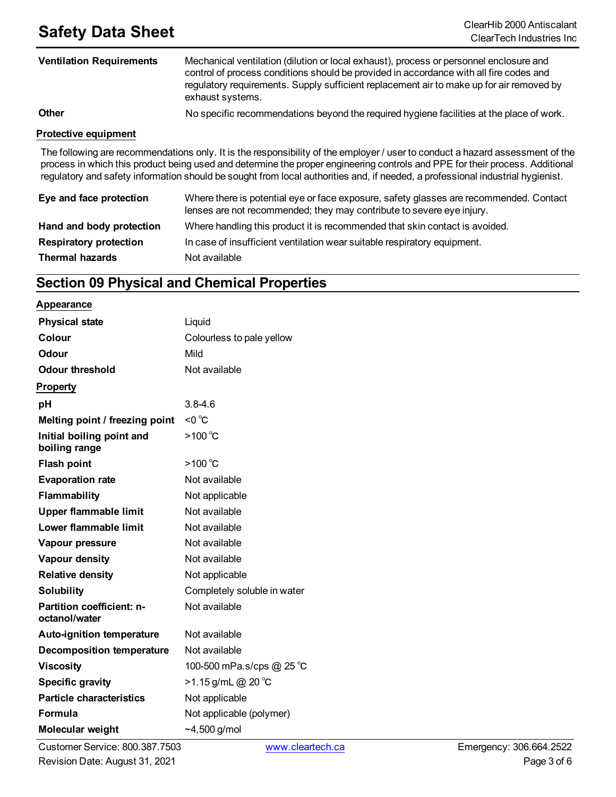## **Safety Data Sheet**<br>ClearHib 2000 Antiscalant

| <b>Ventilation Requirements</b> | Mechanical ventilation (dilution or local exhaust), process or personnel enclosure and<br>control of process conditions should be provided in accordance with all fire codes and<br>regulatory requirements. Supply sufficient replacement air to make up for air removed by<br>exhaust systems. |  |
|---------------------------------|--------------------------------------------------------------------------------------------------------------------------------------------------------------------------------------------------------------------------------------------------------------------------------------------------|--|
| <b>Other</b>                    | No specific recommendations beyond the required hygiene facilities at the place of work.                                                                                                                                                                                                         |  |
| <b>Protective equipment</b>     |                                                                                                                                                                                                                                                                                                  |  |
|                                 | The following are recommendations only. It is the responsibility of the employer / user to conduct a hazard assessment of the<br>process in which this product being used and determine the proper engineering controls and PPE for their process. Additional                                    |  |

|                               | regulatory and safety information should be sought from local authorities and, if needed, a professional industrial hygienist.                                  |
|-------------------------------|-----------------------------------------------------------------------------------------------------------------------------------------------------------------|
| Eye and face protection       | Where there is potential eye or face exposure, safety glasses are recommended. Contact<br>lenses are not recommended; they may contribute to severe eye injury. |
| Hand and body protection      | Where handling this product it is recommended that skin contact is avoided.                                                                                     |
| <b>Respiratory protection</b> | In case of insufficient ventilation wear suitable respiratory equipment.                                                                                        |
| <b>Thermal hazards</b>        | Not available                                                                                                                                                   |

## **Section 09 Physical and Chemical Properties**

#### **Appearance**

| <b>Physical state</b>                      | Liquid                      |
|--------------------------------------------|-----------------------------|
| Colour                                     | Colourless to pale yellow   |
| Odour                                      | Mild                        |
| <b>Odour threshold</b>                     | Not available               |
| <b>Property</b>                            |                             |
| рH                                         | $3.8 - 4.6$                 |
| Melting point / freezing point             | $< 0$ °C                    |
| Initial boiling point and<br>boiling range | >100 $°C$                   |
| <b>Flash point</b>                         | >100 $°C$                   |
| <b>Evaporation rate</b>                    | Not available               |
| Flammability                               | Not applicable              |
| <b>Upper flammable limit</b>               | Not available               |
| Lower flammable limit                      | Not available               |
| Vapour pressure                            | Not available               |
| Vapour density                             | Not available               |
| <b>Relative density</b>                    | Not applicable              |
| <b>Solubility</b>                          | Completely soluble in water |
| Partition coefficient: n-<br>octanol/water | Not available               |
| <b>Auto-ignition temperature</b>           | Not available               |
| <b>Decomposition temperature</b>           | Not available               |
| <b>Viscosity</b>                           | 100-500 mPa.s/cps @ 25 °C   |
| <b>Specific gravity</b>                    | $>1.15$ g/mL @ 20 °C        |
| <b>Particle characteristics</b>            | Not applicable              |
| Formula                                    | Not applicable (polymer)    |
| <b>Molecular weight</b>                    | $-4,500$ g/mol              |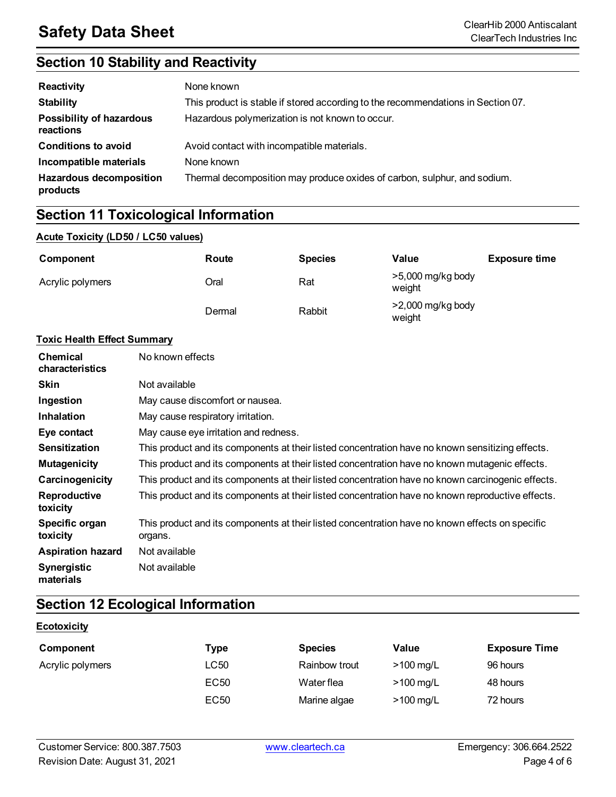## **Section 10 Stability and Reactivity**

| Reactivity                                   | None known                                                                       |
|----------------------------------------------|----------------------------------------------------------------------------------|
| <b>Stability</b>                             | This product is stable if stored according to the recommendations in Section 07. |
| <b>Possibility of hazardous</b><br>reactions | Hazardous polymerization is not known to occur.                                  |
| <b>Conditions to avoid</b>                   | Avoid contact with incompatible materials.                                       |
| Incompatible materials                       | None known                                                                       |
| <b>Hazardous decomposition</b><br>products   | Thermal decomposition may produce oxides of carbon, sulphur, and sodium.         |

## **Section 11 Toxicological Information**

### **Acute Toxicity (LD50 / LC50 values)**

| Component        | Route  | <b>Species</b> | Value                         | <b>Exposure time</b> |
|------------------|--------|----------------|-------------------------------|----------------------|
| Acrylic polymers | Oral   | Rat            | $>5,000$ mg/kg body<br>weight |                      |
|                  | Dermal | Rabbit         | $>2,000$ mg/kg body<br>weight |                      |

#### **Toxic Health Effect Summary**

| <b>Chemical</b><br>characteristics | No known effects                                                                                           |
|------------------------------------|------------------------------------------------------------------------------------------------------------|
| <b>Skin</b>                        | Not available                                                                                              |
| Ingestion                          | May cause discomfort or nausea.                                                                            |
| <b>Inhalation</b>                  | May cause respiratory irritation.                                                                          |
| Eye contact                        | May cause eye irritation and redness.                                                                      |
| <b>Sensitization</b>               | This product and its components at their listed concentration have no known sensitizing effects.           |
| <b>Mutagenicity</b>                | This product and its components at their listed concentration have no known mutagenic effects.             |
| Carcinogenicity                    | This product and its components at their listed concentration have no known carcinogenic effects.          |
| <b>Reproductive</b><br>toxicity    | This product and its components at their listed concentration have no known reproductive effects.          |
| Specific organ<br>toxicity         | This product and its components at their listed concentration have no known effects on specific<br>organs. |
| <b>Aspiration hazard</b>           | Not available                                                                                              |
| <b>Synergistic</b><br>materials    | Not available                                                                                              |

## **Section 12 Ecological Information**

#### **Ecotoxicity**

| Component        | Type             | <b>Species</b> | Value               | <b>Exposure Time</b> |
|------------------|------------------|----------------|---------------------|----------------------|
| Acrylic polymers | LC50             | Rainbow trout  | $>100$ mg/L         | 96 hours             |
|                  | EC <sub>50</sub> | Water flea     | $>100 \text{ mg/L}$ | 48 hours             |
|                  | EC <sub>50</sub> | Marine algae   | $>100$ mg/L         | 72 hours             |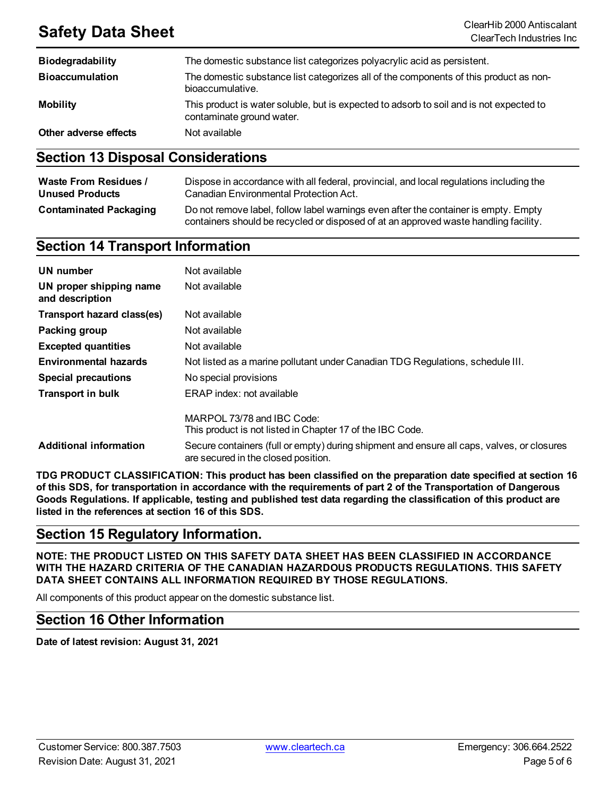## **Safety Data Sheet** ClearHib 2000 Antiscalant

| <b>Biodegradability</b> | The domestic substance list categorizes polyacrylic acid as persistent.                                              |
|-------------------------|----------------------------------------------------------------------------------------------------------------------|
| <b>Bioaccumulation</b>  | The domestic substance list categorizes all of the components of this product as non-<br>bioaccumulative.            |
| <b>Mobility</b>         | This product is water soluble, but is expected to adsorb to soil and is not expected to<br>contaminate ground water. |
| Other adverse effects   | Not available                                                                                                        |

### **Section 13 Disposal Considerations**

| <b>Waste From Residues /</b>  | Dispose in accordance with all federal, provincial, and local regulations including the                                                                                     |
|-------------------------------|-----------------------------------------------------------------------------------------------------------------------------------------------------------------------------|
| <b>Unused Products</b>        | Canadian Environmental Protection Act.                                                                                                                                      |
| <b>Contaminated Packaging</b> | Do not remove label, follow label warnings even after the container is empty. Empty<br>containers should be recycled or disposed of at an approved waste handling facility. |

## **Section 14 Transport Information**

| <b>UN</b> number                           | Not available                                                                                                                     |
|--------------------------------------------|-----------------------------------------------------------------------------------------------------------------------------------|
| UN proper shipping name<br>and description | Not available                                                                                                                     |
| Transport hazard class(es)                 | Not available                                                                                                                     |
| Packing group                              | Not available                                                                                                                     |
| <b>Excepted quantities</b>                 | Not available                                                                                                                     |
| <b>Environmental hazards</b>               | Not listed as a marine pollutant under Canadian TDG Regulations, schedule III.                                                    |
| <b>Special precautions</b>                 | No special provisions                                                                                                             |
| <b>Transport in bulk</b>                   | ERAP index: not available                                                                                                         |
|                                            | MARPOL 73/78 and IBC Code:<br>This product is not listed in Chapter 17 of the IBC Code.                                           |
| <b>Additional information</b>              | Secure containers (full or empty) during shipment and ensure all caps, valves, or closures<br>are secured in the closed position. |

**TDG PRODUCT CLASSIFICATION: This product has been classified on the preparation date specified at section 16** of this SDS, for transportation in accordance with the requirements of part 2 of the Transportation of Dangerous Goods Regulations. If applicable, testing and published test data regarding the classification of this product are **listed in the references at section 16 of this SDS.**

### **Section 15 Regulatory Information.**

**NOTE: THE PRODUCT LISTED ON THIS SAFETY DATA SHEET HAS BEEN CLASSIFIED IN ACCORDANCE WITH THE HAZARD CRITERIA OF THE CANADIAN HAZARDOUS PRODUCTS REGULATIONS. THIS SAFETY DATA SHEET CONTAINS ALL INFORMATION REQUIRED BY THOSE REGULATIONS.**

All components of this product appear on the domestic substance list.

### **Section 16 Other Information**

**Date of latest revision: August 31, 2021**